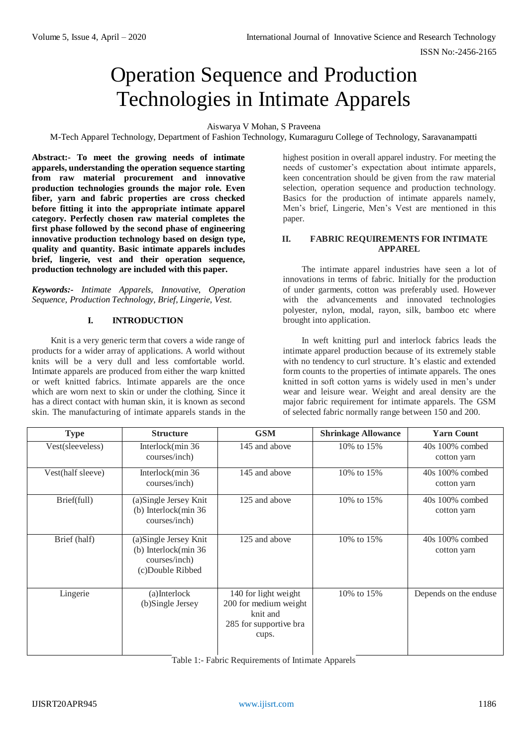# Operation Sequence and Production Technologies in Intimate Apparels

Aiswarya V Mohan, S Praveena

M-Tech Apparel Technology, Department of Fashion Technology, Kumaraguru College of Technology, Saravanampatti

**Abstract:- To meet the growing needs of intimate apparels, understanding the operation sequence starting from raw material procurement and innovative production technologies grounds the major role. Even fiber, yarn and fabric properties are cross checked before fitting it into the appropriate intimate apparel category. Perfectly chosen raw material completes the first phase followed by the second phase of engineering innovative production technology based on design type, quality and quantity. Basic intimate apparels includes brief, lingerie, vest and their operation sequence, production technology are included with this paper.**

*Keywords:- Intimate Apparels, Innovative, Operation Sequence, Production Technology, Brief, Lingerie, Vest.*

#### **I. INTRODUCTION**

Knit is a very generic term that covers a wide range of products for a wider array of applications. A world without knits will be a very dull and less comfortable world. Intimate apparels are produced from either the warp knitted or weft knitted fabrics. Intimate apparels are the once which are worn next to skin or under the clothing. Since it has a direct contact with human skin, it is known as second skin. The manufacturing of intimate apparels stands in the highest position in overall apparel industry. For meeting the needs of customer's expectation about intimate apparels, keen concentration should be given from the raw material selection, operation sequence and production technology. Basics for the production of intimate apparels namely, Men's brief, Lingerie, Men's Vest are mentioned in this paper.

#### **II. FABRIC REQUIREMENTS FOR INTIMATE APPAREL**

The intimate apparel industries have seen a lot of innovations in terms of fabric. Initially for the production of under garments, cotton was preferably used. However with the advancements and innovated technologies polyester, nylon, modal, rayon, silk, bamboo etc where brought into application.

In weft knitting purl and interlock fabrics leads the intimate apparel production because of its extremely stable with no tendency to curl structure. It's elastic and extended form counts to the properties of intimate apparels. The ones knitted in soft cotton yarns is widely used in men's under wear and leisure wear. Weight and areal density are the major fabric requirement for intimate apparels. The GSM of selected fabric normally range between 150 and 200.

| <b>Type</b>       | <b>Structure</b>                                                                    | <b>GSM</b>                                                                                   | <b>Shrinkage Allowance</b> | <b>Yarn Count</b>                |
|-------------------|-------------------------------------------------------------------------------------|----------------------------------------------------------------------------------------------|----------------------------|----------------------------------|
| Vest(sleeveless)  | Interlock $(min 36)$<br>courses/inch)                                               | 145 and above                                                                                | 10\% to 15\%               | $40s$ 100% combed<br>cotton yarn |
| Vest(half sleeve) | Interlock(min 36<br>courses/inch)                                                   | 145 and above                                                                                | 10% to 15%                 | $40s$ 100% combed<br>cotton yarn |
| Brief(full)       | (a)Single Jersey Knit<br>(b) Interlock( $min 36$<br>courses/inch)                   | 125 and above                                                                                | 10% to 15%                 | 40s 100% combed<br>cotton yarn   |
| Brief (half)      | (a) Single Jersey Knit<br>(b) Interlock(min 36<br>courses/inch)<br>(c)Double Ribbed | 125 and above                                                                                | 10\% to 15\%               | $40s$ 100% combed<br>cotton yarn |
| Lingerie          | (a)Interlock<br>(b)Single Jersey                                                    | 140 for light weight<br>200 for medium weight<br>knit and<br>285 for supportive bra<br>cups. | 10\% to 15\%               | Depends on the enduse            |

Table 1:- Fabric Requirements of Intimate Apparels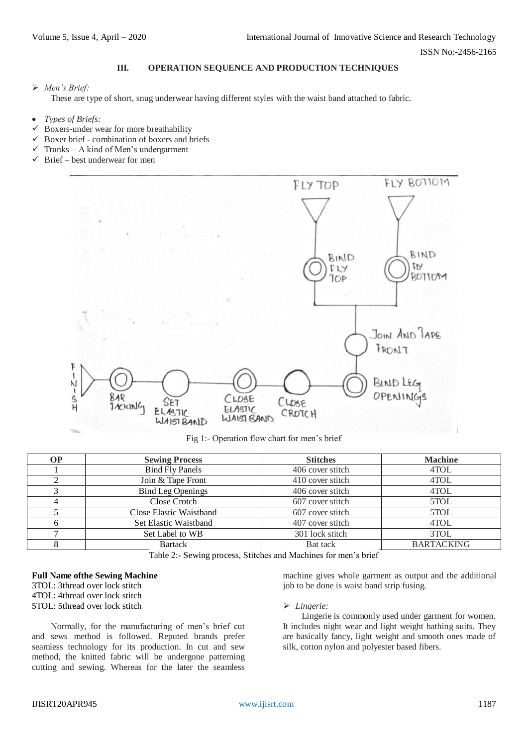ISSN No:-2456-2165

## **III. OPERATION SEQUENCE AND PRODUCTION TECHNIQUES**

# *Men's Brief:*

These are type of short, snug underwear having different styles with the waist band attached to fabric.

- *Types of Briefs:*
- $\checkmark$  Boxers-under wear for more breathability
- $\checkmark$  Boxer brief combination of boxers and briefs
- $\checkmark$  Trunks A kind of Men's undergarment
- $\checkmark$  Brief best underwear for men



Fig 1:- Operation flow chart for men's brief

| <b>OP</b>                                                                    | <b>Sewing Process</b>    | <b>Stitches</b>  | <b>Machine</b>    |
|------------------------------------------------------------------------------|--------------------------|------------------|-------------------|
|                                                                              | <b>Bind Fly Panels</b>   | 406 cover stitch | 4TOL              |
|                                                                              | Join & Tape Front        | 410 cover stitch | 4TOL              |
|                                                                              | <b>Bind Leg Openings</b> | 406 cover stitch | 4TOL              |
|                                                                              | Close Crotch             | 607 cover stitch | 5TOL              |
|                                                                              | Close Elastic Waistband  | 607 cover stitch | 5TOL              |
|                                                                              | Set Elastic Waistband    | 407 cover stitch | 4TOL              |
|                                                                              | Set Label to WB          | 301 lock stitch  | 3TOL              |
|                                                                              | <b>Bartack</b>           | Bat tack         | <b>BARTACKING</b> |
| $m + 1 - 2 - 3$<br>$\sim$ $\sim$ 1<br>$1.11 \t1.11 \t0.1$<br>$\cdot$ $\cdot$ |                          |                  |                   |

Table 2:- Sewing process, Stitches and Machines for men's brief

#### **Full Name ofthe Sewing Machine** 3TOL: 3thread over lock stitch 4TOL: 4thread over lock stitch 5TOL: 5thread over lock stitch

Normally, for the manufacturing of men's brief cut and sews method is followed. Reputed brands prefer seamless technology for its production. In cut and sew method, the knitted fabric will be undergone patterning cutting and sewing. Whereas for the later the seamless

machine gives whole garment as output and the additional job to be done is waist band strip fusing.

#### *Lingerie:*

Lingerie is commonly used under garment for women. It includes night wear and light weight bathing suits. They are basically fancy, light weight and smooth ones made of silk, cotton nylon and polyester based fibers.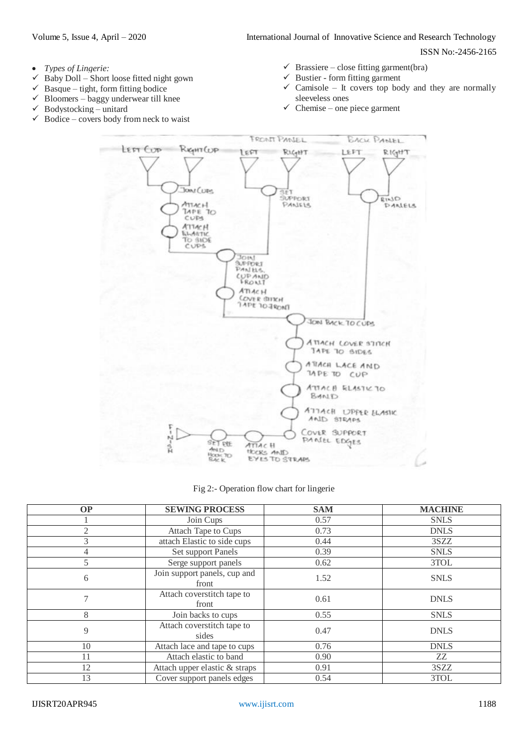ISSN No:-2456-2165

- *Types of Lingerie:*
- Baby Doll Short loose fitted night gown
- $\checkmark$  Basque tight, form fitting bodice
- $\checkmark$  Bloomers baggy underwear till knee
- $\checkmark$  Bodystocking unitard<br> $\checkmark$  Bodice covers body fr
- Bodice covers body from neck to waist
- $\checkmark$  Brassiere close fitting garment(bra)
- $\checkmark$  Bustier form fitting garment
- $\checkmark$  Camisole It covers top body and they are normally sleeveless ones
- $\checkmark$  Chemise one piece garment



Fig 2:- Operation flow chart for lingerie

| <b>OP</b> | <b>SEWING PROCESS</b>                 | <b>SAM</b> | <b>MACHINE</b> |
|-----------|---------------------------------------|------------|----------------|
|           | Join Cups                             | 0.57       | <b>SNLS</b>    |
|           | <b>Attach Tape to Cups</b>            | 0.73       | <b>DNLS</b>    |
| 3         | attach Elastic to side cups           | 0.44       | 3SZZ           |
|           | Set support Panels                    | 0.39       | <b>SNLS</b>    |
|           | Serge support panels                  | 0.62       | 3TOL           |
| 6         | Join support panels, cup and<br>front | 1.52       | <b>SNLS</b>    |
|           | Attach coverstitch tape to<br>front   | 0.61       | <b>DNLS</b>    |
| 8         | Join backs to cups                    | 0.55       | <b>SNLS</b>    |
| 9         | Attach coverstitch tape to<br>sides   | 0.47       | <b>DNLS</b>    |
| 10        | Attach lace and tape to cups          | 0.76       | <b>DNLS</b>    |
| 11        | Attach elastic to band                | 0.90       | ZZ             |
| 12        | Attach upper elastic & straps         | 0.91       | 3SZZ           |
| 13        | Cover support panels edges            | 0.54       | 3TOL           |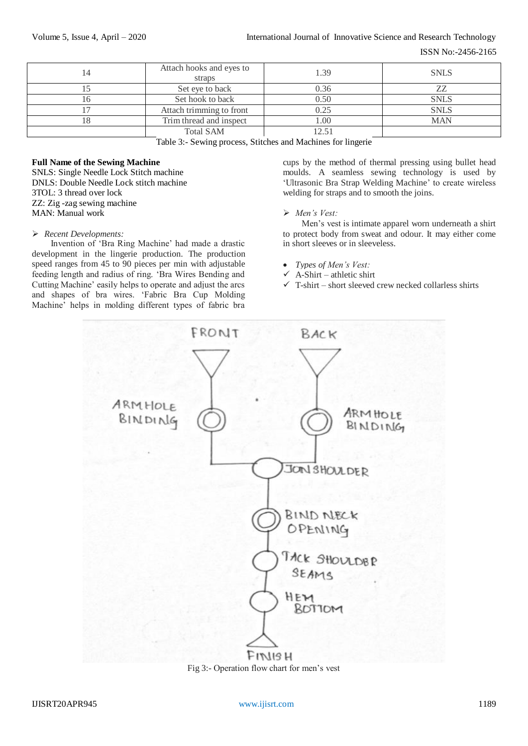ISSN No:-2456-2165

| 14 | Attach hooks and eyes to<br>straps | 1.39  | <b>SNLS</b> |
|----|------------------------------------|-------|-------------|
|    | Set eye to back                    | 0.36  | 77          |
|    | Set hook to back                   | 0.50  | <b>SNLS</b> |
|    | Attach trimming to front           | 0.25  | <b>SNLS</b> |
|    | Trim thread and inspect            | 1.00  | <b>MAN</b>  |
|    | <b>Total SAM</b>                   | [2.5] |             |

Table 3:- Sewing process, Stitches and Machines for lingerie

### **Full Name of the Sewing Machine**

SNLS: Single Needle Lock Stitch machine DNLS: Double Needle Lock stitch machine 3TOL: 3 thread over lock ZZ: Zig -zag sewing machine MAN: Manual work

#### *Recent Developments:*

Invention of 'Bra Ring Machine' had made a drastic development in the lingerie production. The production speed ranges from 45 to 90 pieces per min with adjustable feeding length and radius of ring. 'Bra Wires Bending and Cutting Machine' easily helps to operate and adjust the arcs and shapes of bra wires. 'Fabric Bra Cup Molding Machine' helps in molding different types of fabric bra cups by the method of thermal pressing using bullet head moulds. A seamless sewing technology is used by 'Ultrasonic Bra Strap Welding Machine' to create wireless welding for straps and to smooth the joins.

#### *Men's Vest:*

Men's vest is intimate apparel worn underneath a shirt to protect body from sweat and odour. It may either come in short sleeves or in sleeveless.

- *Types of Men's Vest:*
- $\checkmark$  A-Shirt athletic shirt
- $\checkmark$  T-shirt short sleeved crew necked collarless shirts



Fig 3:- Operation flow chart for men's vest